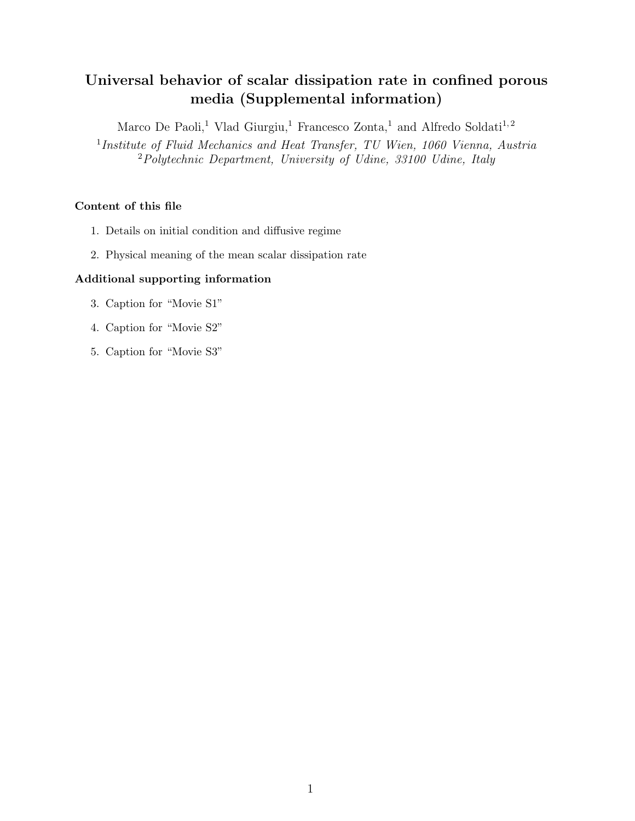# Universal behavior of scalar dissipation rate in confined porous media (Supplemental information)

Marco De Paoli,<sup>1</sup> Vlad Giurgiu,<sup>1</sup> Francesco Zonta,<sup>1</sup> and Alfredo Soldati<sup>1,2</sup>

<sup>1</sup>Institute of Fluid Mechanics and Heat Transfer, TU Wien, 1060 Vienna, Austria <sup>2</sup>Polytechnic Department, University of Udine, 33100 Udine, Italy

# Content of this file

- 1. Details on initial condition and diffusive regime
- 2. Physical meaning of the mean scalar dissipation rate

# Additional supporting information

- 3. Caption for "Movie S1"
- 4. Caption for "Movie S2"
- 5. Caption for "Movie S3"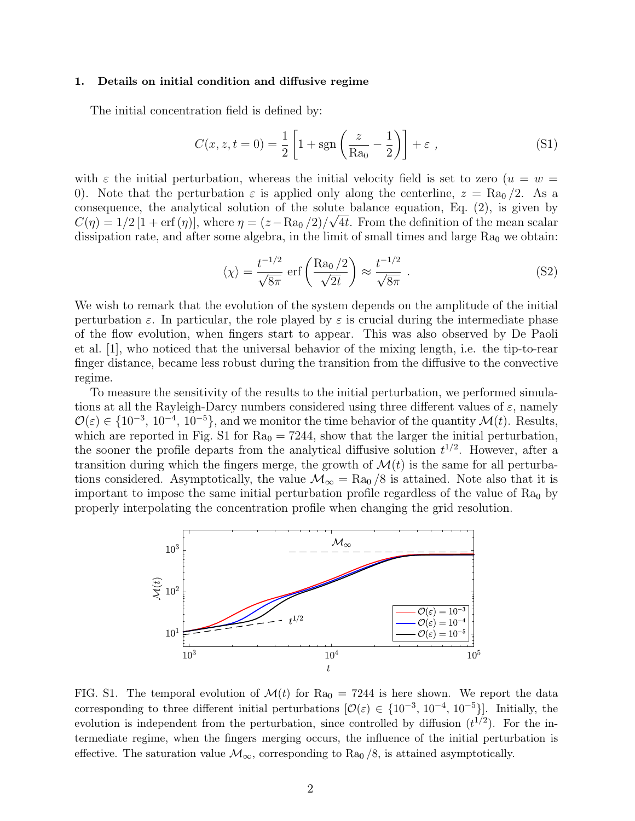#### 1. Details on initial condition and diffusive regime

The initial concentration field is defined by:

$$
C(x, z, t = 0) = \frac{1}{2} \left[ 1 + \text{sgn} \left( \frac{z}{\text{Ra}_0} - \frac{1}{2} \right) \right] + \varepsilon \tag{S1}
$$

with  $\varepsilon$  the initial perturbation, whereas the initial velocity field is set to zero  $(u = w =$ 0). Note that the perturbation  $\varepsilon$  is applied only along the centerline,  $z = \text{Ra}_0/2$ . As a consequence, the analytical solution of the solute balance equation, Eq.  $(2)$ , is given by  $C(\eta) = 1/2 [1 + erf(\eta)],$  where  $\eta = (z - \text{Ra}_0/2)/\sqrt{4t}$ . From the definition of the mean scalar dissipation rate, and after some algebra, in the limit of small times and large  $Ra_0$  we obtain:

$$
\langle \chi \rangle = \frac{t^{-1/2}}{\sqrt{8\pi}} \operatorname{erf}\left(\frac{\text{Ra}_0/2}{\sqrt{2t}}\right) \approx \frac{t^{-1/2}}{\sqrt{8\pi}} \ . \tag{S2}
$$

We wish to remark that the evolution of the system depends on the amplitude of the initial perturbation  $\varepsilon$ . In particular, the role played by  $\varepsilon$  is crucial during the intermediate phase of the flow evolution, when fingers start to appear. This was also observed by De Paoli et al. [1], who noticed that the universal behavior of the mixing length, i.e. the tip-to-rear finger distance, became less robust during the transition from the diffusive to the convective regime.

To measure the sensitivity of the results to the initial perturbation, we performed simulations at all the Rayleigh-Darcy numbers considered using three different values of  $\varepsilon$ , namely  $\mathcal{O}(\varepsilon) \in \{10^{-3}, 10^{-4}, 10^{-5}\},\$ and we monitor the time behavior of the quantity  $\mathcal{M}(t)$ . Results, which are reported in Fig. S1 for  $Ra_0 = 7244$ , show that the larger the initial perturbation, the sooner the profile departs from the analytical diffusive solution  $t^{1/2}$ . However, after a transition during which the fingers merge, the growth of  $\mathcal{M}(t)$  is the same for all perturbations considered. Asymptotically, the value  $\mathcal{M}_{\infty} = \text{Ra}_0/8$  is attained. Note also that it is important to impose the same initial perturbation profile regardless of the value of  $Ra_0$  by properly interpolating the concentration profile when changing the grid resolution.



FIG. S1. The temporal evolution of  $\mathcal{M}(t)$  for Ra<sub>0</sub> = 7244 is here shown. We report the data corresponding to three different initial perturbations  $[O(\varepsilon) \in \{10^{-3}, 10^{-4}, 10^{-5}\}]$ . Initially, the evolution is independent from the perturbation, since controlled by diffusion  $(t^{1/2})$ . For the intermediate regime, when the fingers merging occurs, the influence of the initial perturbation is effective. The saturation value  $\mathcal{M}_{\infty}$ , corresponding to Ra<sub>0</sub> /8, is attained asymptotically.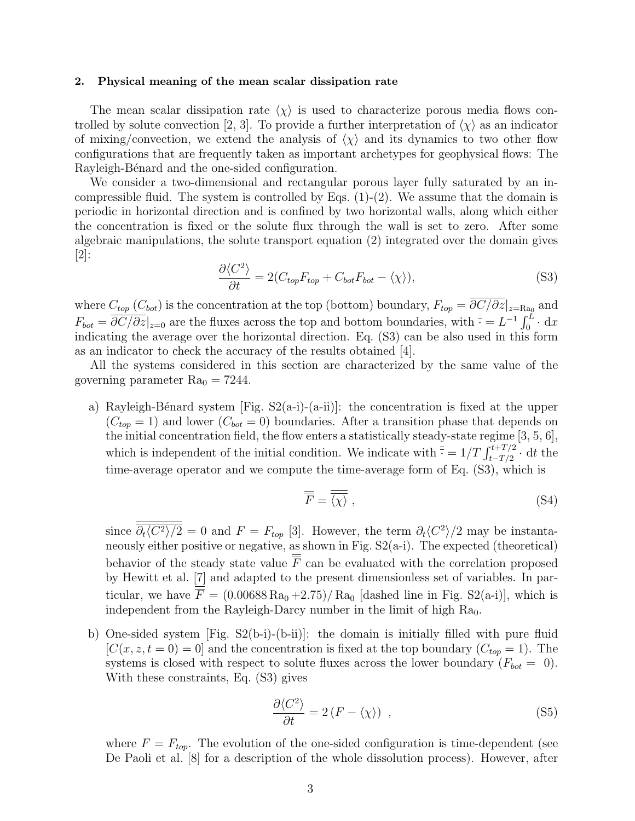#### 2. Physical meaning of the mean scalar dissipation rate

The mean scalar dissipation rate  $\langle \chi \rangle$  is used to characterize porous media flows controlled by solute convection [2, 3]. To provide a further interpretation of  $\langle \chi \rangle$  as an indicator of mixing/convection, we extend the analysis of  $\langle \chi \rangle$  and its dynamics to two other flow configurations that are frequently taken as important archetypes for geophysical flows: The Rayleigh-Bénard and the one-sided configuration.

We consider a two-dimensional and rectangular porous layer fully saturated by an incompressible fluid. The system is controlled by Eqs.  $(1)-(2)$ . We assume that the domain is periodic in horizontal direction and is confined by two horizontal walls, along which either the concentration is fixed or the solute flux through the wall is set to zero. After some algebraic manipulations, the solute transport equation (2) integrated over the domain gives [2]:

$$
\frac{\partial \langle C^2 \rangle}{\partial t} = 2(C_{top}F_{top} + C_{bot}F_{bot} - \langle \chi \rangle), \tag{S3}
$$

where  $C_{top}$  ( $C_{bot}$ ) is the concentration at the top (bottom) boundary,  $F_{top} = \partial C/\partial z|_{z=\text{Ra}_0}$  and  $F_{bot} = \overline{\partial C/\partial z}\vert_{z=0}$  are the fluxes across the top and bottom boundaries, with  $\bar{\cdot} = L^{-1} \int_0^L \cdot dx$ indicating the average over the horizontal direction. Eq. (S3) can be also used in this form as an indicator to check the accuracy of the results obtained [4].

All the systems considered in this section are characterized by the same value of the governing parameter  $Ra_0 = 7244$ .

a) Rayleigh-Bénard system [Fig.  $S2(a-i)-(a-i)$ ]: the concentration is fixed at the upper  $(C_{top} = 1)$  and lower  $(C_{bot} = 0)$  boundaries. After a transition phase that depends on the initial concentration field, the flow enters a statistically steady-state regime  $[3, 5, 6]$ , which is independent of the initial condition. We indicate with  $\frac{1}{s} = 1/T \int_{t-T/2}^{t+T/2} \cdot dt$  the time-average operator and we compute the time-average form of Eq. (S3), which is

$$
\overline{\overline{F}} = \overline{\langle \chi \rangle} \tag{S4}
$$

since  $\frac{\partial_t \langle C^2 \rangle}{\partial t} = 0$  and  $F = F_{top}$  [3]. However, the term  $\partial_t \langle C^2 \rangle / 2$  may be instantaneously either positive or negative, as shown in Fig.  $S2(a-i)$ . The expected (theoretical) behavior of the steady state value  $\overline{\overline{F}}$  can be evaluated with the correlation proposed by Hewitt et al. [7] and adapted to the present dimensionless set of variables. In particular, we have  $\overline{\overline{F}} = (0.00688 \text{ Ra}_0 + 2.75) / \text{Ra}_0$  [dashed line in Fig. S2(a-i)], which is independent from the Rayleigh-Darcy number in the limit of high  $Ra_0$ .

b) One-sided system  $[Fig. S2(b-i)-(b-i)]$ : the domain is initially filled with pure fluid  $[C(x, z, t = 0) = 0]$  and the concentration is fixed at the top boundary  $(C_{top} = 1)$ . The systems is closed with respect to solute fluxes across the lower boundary  $(F_{bot} = 0)$ . With these constraints, Eq. (S3) gives

$$
\frac{\partial \langle C^2 \rangle}{\partial t} = 2 \left( F - \langle \chi \rangle \right) , \qquad (S5)
$$

where  $F = F_{top}$ . The evolution of the one-sided configuration is time-dependent (see De Paoli et al. [8] for a description of the whole dissolution process). However, after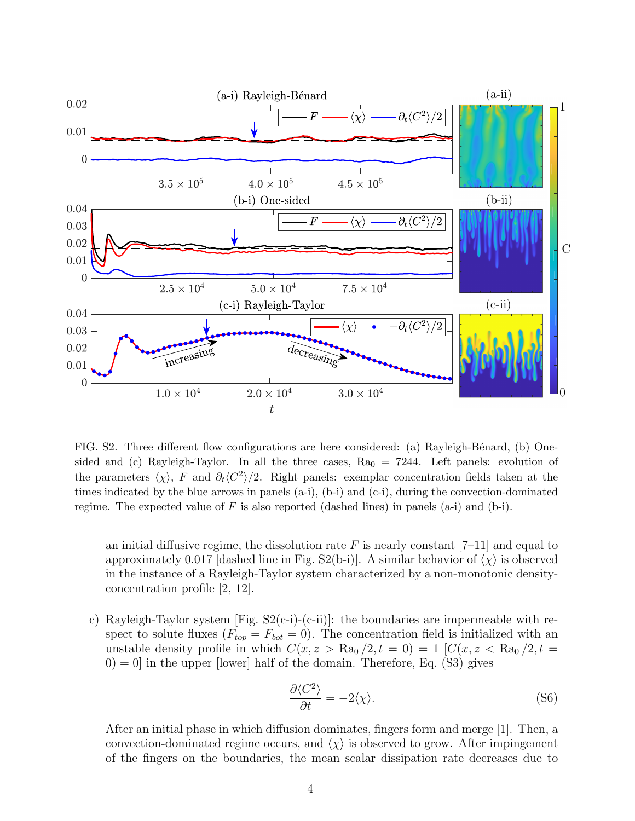

FIG. S2. Three different flow configurations are here considered: (a) Rayleigh-Bénard, (b) Onesided and (c) Rayleigh-Taylor. In all the three cases,  $Ra_0 = 7244$ . Left panels: evolution of the parameters  $\langle \chi \rangle$ , F and  $\partial_t \langle C^2 \rangle /2$ . Right panels: exemplar concentration fields taken at the times indicated by the blue arrows in panels (a-i), (b-i) and (c-i), during the convection-dominated regime. The expected value of  $F$  is also reported (dashed lines) in panels (a-i) and (b-i).

an initial diffusive regime, the dissolution rate  $F$  is nearly constant  $[7-11]$  and equal to approximately 0.017 [dashed line in Fig. S2(b-i)]. A similar behavior of  $\langle \chi \rangle$  is observed in the instance of a Rayleigh-Taylor system characterized by a non-monotonic densityconcentration profile [2, 12].

c) Rayleigh-Taylor system [Fig. S2(c-i)-(c-ii)]: the boundaries are impermeable with respect to solute fluxes  $(F_{top} = F_{bot} = 0)$ . The concentration field is initialized with an unstable density profile in which  $C(x, z > \text{Ra}_0/2, t = 0) = 1$   $[C(x, z < \text{Ra}_0/2, t = 0, t = 0, t = 0]$  $(0) = 0$  in the upper [lower] half of the domain. Therefore, Eq. (S3) gives

$$
\frac{\partial \langle C^2 \rangle}{\partial t} = -2 \langle \chi \rangle. \tag{S6}
$$

After an initial phase in which diffusion dominates, fingers form and merge [1]. Then, a convection-dominated regime occurs, and  $\langle \chi \rangle$  is observed to grow. After impingement of the fingers on the boundaries, the mean scalar dissipation rate decreases due to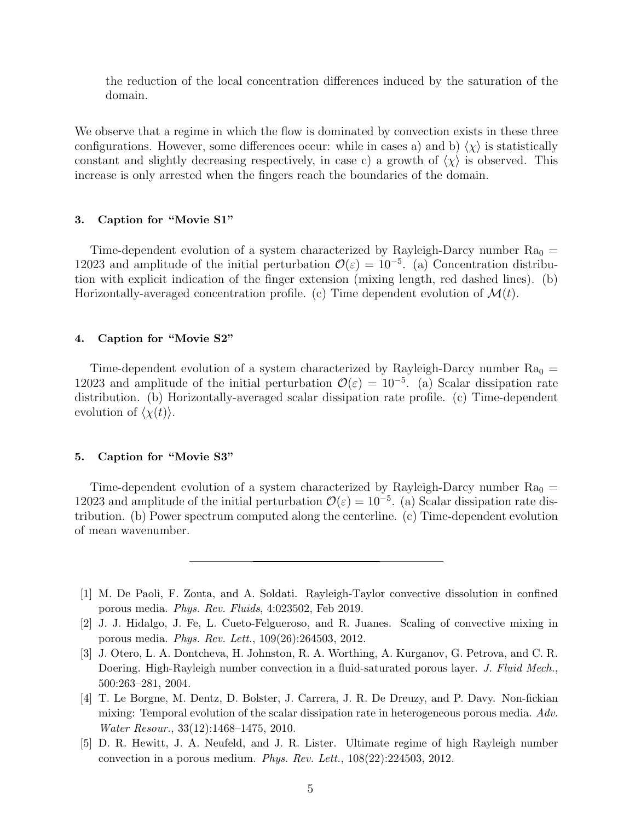the reduction of the local concentration differences induced by the saturation of the domain.

We observe that a regime in which the flow is dominated by convection exists in these three configurations. However, some differences occur: while in cases a) and b)  $\langle \chi \rangle$  is statistically constant and slightly decreasing respectively, in case c) a growth of  $\langle \chi \rangle$  is observed. This increase is only arrested when the fingers reach the boundaries of the domain.

## 3. Caption for "Movie S1"

Time-dependent evolution of a system characterized by Rayleigh-Darcy number  $Ra_0 =$ 12023 and amplitude of the initial perturbation  $\mathcal{O}(\varepsilon) = 10^{-5}$ . (a) Concentration distribution with explicit indication of the finger extension (mixing length, red dashed lines). (b) Horizontally-averaged concentration profile. (c) Time dependent evolution of  $\mathcal{M}(t)$ .

## 4. Caption for "Movie S2"

Time-dependent evolution of a system characterized by Rayleigh-Darcy number  $Ra_0 =$ 12023 and amplitude of the initial perturbation  $\mathcal{O}(\varepsilon) = 10^{-5}$ . (a) Scalar dissipation rate distribution. (b) Horizontally-averaged scalar dissipation rate profile. (c) Time-dependent evolution of  $\langle \chi(t) \rangle$ .

## 5. Caption for "Movie S3"

Time-dependent evolution of a system characterized by Rayleigh-Darcy number  $Ra_0 =$ 12023 and amplitude of the initial perturbation  $\mathcal{O}(\varepsilon) = 10^{-5}$ . (a) Scalar dissipation rate distribution. (b) Power spectrum computed along the centerline. (c) Time-dependent evolution of mean wavenumber.

- [1] M. De Paoli, F. Zonta, and A. Soldati. Rayleigh-Taylor convective dissolution in confined porous media. Phys. Rev. Fluids, 4:023502, Feb 2019.
- [2] J. J. Hidalgo, J. Fe, L. Cueto-Felgueroso, and R. Juanes. Scaling of convective mixing in porous media. Phys. Rev. Lett., 109(26):264503, 2012.
- [3] J. Otero, L. A. Dontcheva, H. Johnston, R. A. Worthing, A. Kurganov, G. Petrova, and C. R. Doering. High-Rayleigh number convection in a fluid-saturated porous layer. J. Fluid Mech., 500:263–281, 2004.
- [4] T. Le Borgne, M. Dentz, D. Bolster, J. Carrera, J. R. De Dreuzy, and P. Davy. Non-fickian mixing: Temporal evolution of the scalar dissipation rate in heterogeneous porous media. Adv. Water Resour., 33(12):1468–1475, 2010.
- [5] D. R. Hewitt, J. A. Neufeld, and J. R. Lister. Ultimate regime of high Rayleigh number convection in a porous medium. Phys. Rev. Lett., 108(22):224503, 2012.